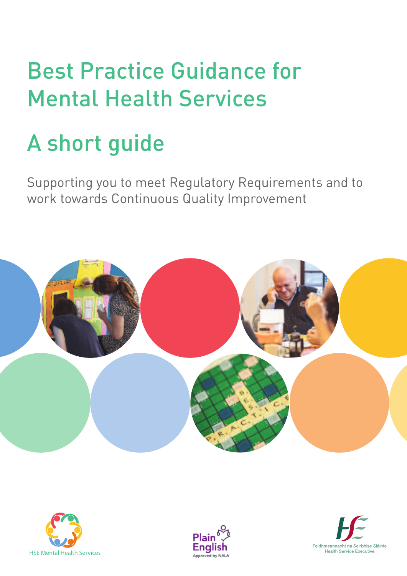# Best Practice Guidance for Mental Health Services

# A short guide

Supporting you to meet Regulatory Requirements and to work towards Continuous Quality Improvement







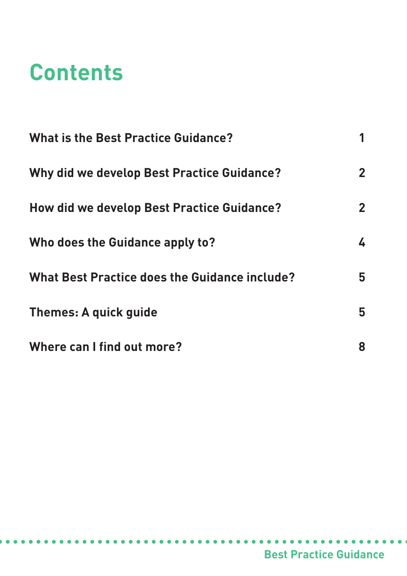# **Contents**

| <b>What is the Best Practice Guidance?</b>           |                |
|------------------------------------------------------|----------------|
| <b>Why did we develop Best Practice Guidance?</b>    | $\overline{2}$ |
| How did we develop Best Practice Guidance?           | $\overline{2}$ |
| Who does the Guidance apply to?                      | 4              |
| <b>What Best Practice does the Guidance include?</b> | 5              |
| Themes: A quick quide                                | 5              |
| Where can I find out more?                           | 8              |

. . . . . . . . .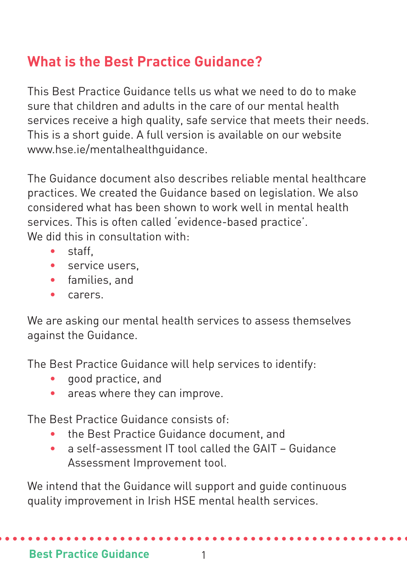# **What is the Best Practice Guidance?**

This Best Practice Guidance tells us what we need to do to make sure that children and adults in the care of our mental health services receive a high quality, safe service that meets their needs. This is a short guide. A full version is available on our website www.hse.ie/mentalhealthguidance.

The Guidance document also describes reliable mental healthcare practices. We created the Guidance based on legislation. We also considered what has been shown to work well in mental health services. This is often called 'evidence-based practice'. We did this in consultation with.

- $\bullet$  staff
- service users.
- families, and
- carers.

We are asking our mental health services to assess themselves against the Guidance.

The Best Practice Guidance will help services to identify:

- good practice, and
- areas where they can improve.

The Best Practice Guidance consists of:

- the Best Practice Guidance document, and
- a self-assessment IT tool called the GAIT Guidance Assessment Improvement tool.

We intend that the Guidance will support and guide continuous quality improvement in Irish HSE mental health services.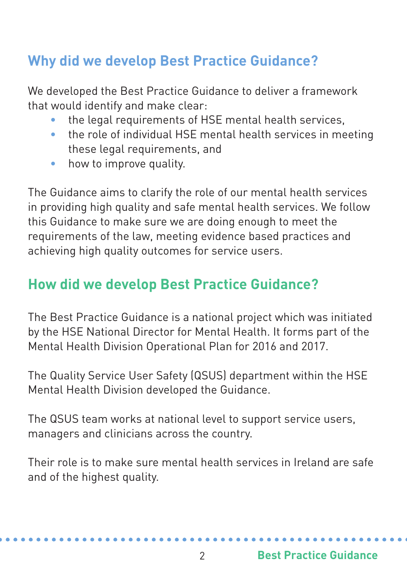# **Why did we develop Best Practice Guidance?**

We developed the Best Practice Guidance to deliver a framework that would identify and make clear:

- the legal requirements of HSE mental health services,
- the role of individual HSE mental health services in meeting these legal requirements, and
- how to improve quality.

The Guidance aims to clarify the role of our mental health services in providing high quality and safe mental health services. We follow this Guidance to make sure we are doing enough to meet the requirements of the law, meeting evidence based practices and achieving high quality outcomes for service users.

# **How did we develop Best Practice Guidance?**

The Best Practice Guidance is a national project which was initiated by the HSE National Director for Mental Health. It forms part of the Mental Health Division Operational Plan for 2016 and 2017.

The Quality Service User Safety (QSUS) department within the HSE Mental Health Division developed the Guidance.

The QSUS team works at national level to support service users, managers and clinicians across the country.

Their role is to make sure mental health services in Ireland are safe and of the highest quality.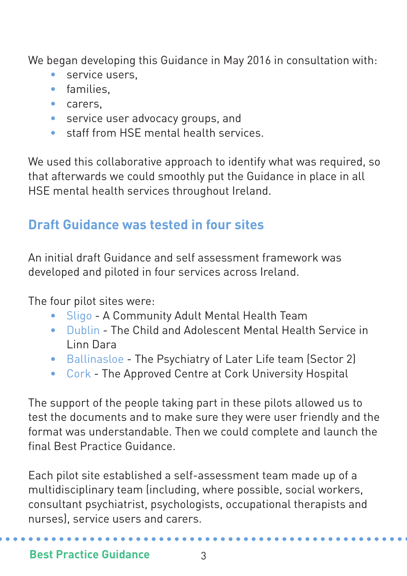We began developing this Guidance in May 2016 in consultation with:

- service users,
- families,
- carers,
- service user advocacy groups, and
- staff from HSE mental health services.

We used this collaborative approach to identify what was required, so that afterwards we could smoothly put the Guidance in place in all HSE mental health services throughout Ireland.

# **Draft Guidance was tested in four sites**

An initial draft Guidance and self assessment framework was developed and piloted in four services across Ireland.

The four pilot sites were:

- Sligo A Community Adult Mental Health Team
- Dublin The Child and Adolescent Mental Health Service in Linn Dara
- Ballinasloe The Psychiatry of Later Life team (Sector 2)
- Cork The Approved Centre at Cork University Hospital

The support of the people taking part in these pilots allowed us to test the documents and to make sure they were user friendly and the format was understandable. Then we could complete and launch the final Best Practice Guidance.

Each pilot site established a self-assessment team made up of a multidisciplinary team (including, where possible, social workers, consultant psychiatrist, psychologists, occupational therapists and nurses), service users and carers.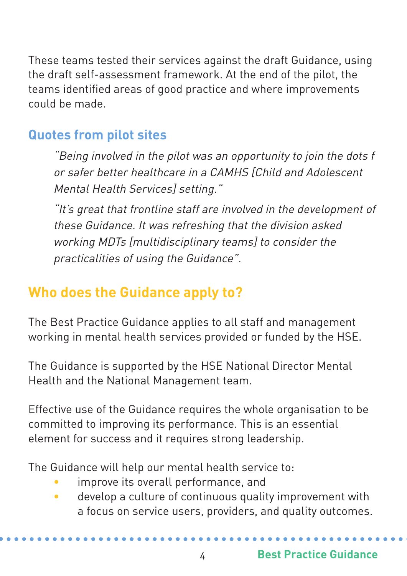These teams tested their services against the draft Guidance, using the draft self-assessment framework. At the end of the pilot, the teams identified areas of good practice and where improvements could be made.

## **Quotes from pilot sites**

"Being involved in the pilot was an opportunity to join the dots f or safer better healthcare in <sup>a</sup> CAMHS [Child and Adolescent Mental Health Services] setting."

"It's grea<sup>t</sup> that frontline staff are involved in the development of these Guidance. It was refreshing that the division asked working MDTs [multidisciplinary teams] to consider the practicalities of using the Guidance".

# **Who does the Guidance apply to?**

The Best Practice Guidance applies to all staff and management working in mental health services provided or funded by the HSE.

The Guidance is supported by the HSE National Director Mental Health and the National Management team.

Effective use of the Guidance requires the whole organisation to be committed to improving its performance. This is an essential element for success and it requires strong leadership.

The Guidance will help our mental health service to:

- improve its overall performance, and
- develop a culture of continuous quality improvement with a focus on service users, providers, and quality outcomes.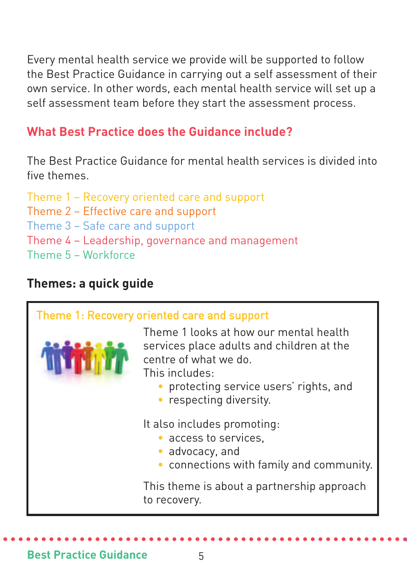Every mental health service we provide will be supported to follow the Best Practice Guidance in carrying out a self assessment of their own service. In other words, each mental health service will set up a self assessment team before they start the assessment process.

## **What Best Practice does the Guidance include?**

The Best Practice Guidance for mental health services is divided into five themes.

Theme 1 – Recovery oriented care and support Theme 2 – Effective care and support Theme 3 – Safe care and support Theme 4 – Leadership, governance and management Theme 5 – Workforce

#### **Themes: a quick guide**

| Theme 1: Recovery oriented care and support |                                                                                                                                                                                                  |
|---------------------------------------------|--------------------------------------------------------------------------------------------------------------------------------------------------------------------------------------------------|
|                                             | Theme 1 looks at how our mental health<br>services place adults and children at the<br>centre of what we do.<br>This includes:<br>protecting service users' rights, and<br>respecting diversity. |
|                                             | It also includes promoting:<br>• access to services.<br>advocacy, and<br>connections with family and community.                                                                                  |
|                                             | This theme is about a partnership approach<br>to recovery.                                                                                                                                       |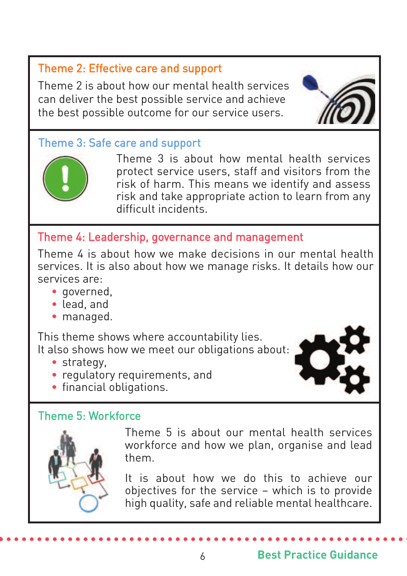## Theme 2: Effective care and support

Theme 2 is about how our mental health services can deliver the best possible service and achieve the best possible outcome for our service users.

### Theme 3: Safe care and support



Theme 3 is about how mental health services protect service users, staff and visitors from the risk of harm. This means we identify and assess risk and take appropriate action to learn from any difficult incidents.

### Theme 4: Leadership, governance and management

Theme 4 is about how we make decisions in our mental health services. It is also about how we manage risks. It details how our services are:

- governed,
- lead, and
- managed.

This theme shows where accountability lies. It also shows how we meet our obligations about:

- strategy,
- regulatory requirements, and
- financial obligations.

#### Theme 5: Workforce



Theme 5 is about our mental health services workforce and how we plan, organise and lead them.

It is about how we do this to achieve our objectives for the service – which is to provide high quality, safe and reliable mental healthcare.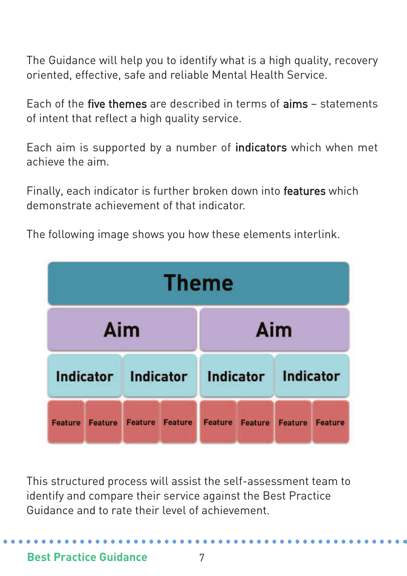The Guidance will help you to identify what is a high quality, recovery oriented, effective, safe and reliable Mental Health Service.

Each of the five themes are described in terms of aims – statements of intent that reflect a high quality service.

Each aim is supported by a number of indicators which when met achieve the aim.

Finally, each indicator is further broken down into features which demonstrate achievement of that indicator.



The following image shows you how these elements interlink.

This structured process will assist the self-assessment team to identify and compare their service against the Best Practice Guidance and to rate their level of achievement.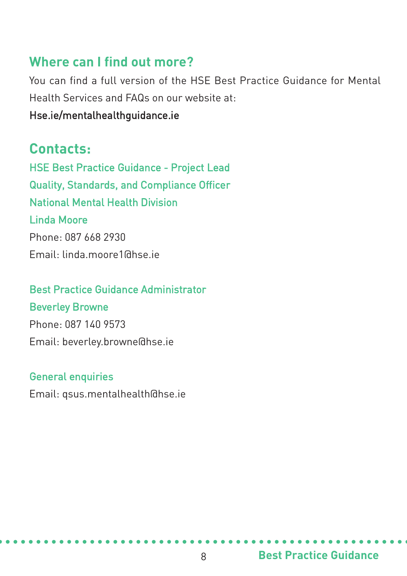## **Where can I find out more?**

You can find a full version of the HSE Best Practice Guidance for Mental Health Services and FAQs on our website at:

#### Hse.ie/mentalhealthguidance.ie

## **Contacts:**

HSE Best Practice Guidance - Project Lead Quality, Standards, and Compliance Officer National Mental Health Division Linda Moore Phone: 087 668 2930 Email: linda.moore1@hse.ie

# Best Practice Guidance Administrator Beverley Browne Phone: 087 140 9573 Email: beverley.browne@hse.ie

#### General enquiries

Email: qsus.mentalhealth@hse.ie